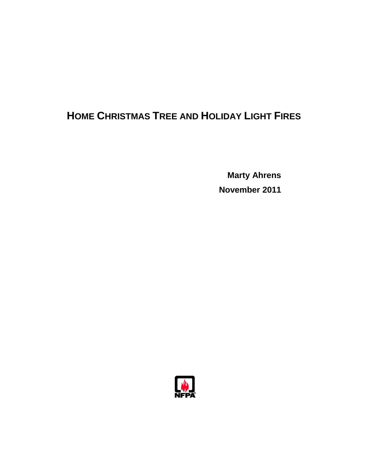# **HOME CHRISTMAS TREE AND HOLIDAY LIGHT FIRES**

**Marty Ahrens November 2011** 

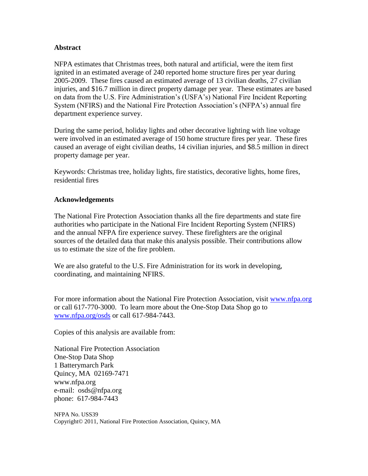### **Abstract**

NFPA estimates that Christmas trees, both natural and artificial, were the item first ignited in an estimated average of 240 reported home structure fires per year during 2005-2009. These fires caused an estimated average of 13 civilian deaths, 27 civilian injuries, and \$16.7 million in direct property damage per year. These estimates are based on data from the U.S. Fire Administration"s (USFA"s) National Fire Incident Reporting System (NFIRS) and the National Fire Protection Association"s (NFPA"s) annual fire department experience survey.

During the same period, holiday lights and other decorative lighting with line voltage were involved in an estimated average of 150 home structure fires per year. These fires caused an average of eight civilian deaths, 14 civilian injuries, and \$8.5 million in direct property damage per year.

Keywords: Christmas tree, holiday lights, fire statistics, decorative lights, home fires, residential fires

### **Acknowledgements**

The National Fire Protection Association thanks all the fire departments and state fire authorities who participate in the National Fire Incident Reporting System (NFIRS) and the annual NFPA fire experience survey. These firefighters are the original sources of the detailed data that make this analysis possible. Their contributions allow us to estimate the size of the fire problem.

We are also grateful to the U.S. Fire Administration for its work in developing, coordinating, and maintaining NFIRS.

For more information about the National Fire Protection Association, visit [www.nfpa.org](http://www.nfpa.org/) or call 617-770-3000. To learn more about the One-Stop Data Shop go to [www.nfpa.org/osds](http://www.nfpa.org/osds) or call 617-984-7443.

Copies of this analysis are available from:

National Fire Protection Association One-Stop Data Shop 1 Batterymarch Park Quincy, MA 02169-7471 [www.nfpa.org](http://www.nfpa.org)  e-mail: [osds@nfpa.org](mailto:osds@nfpa.org)  phone: 617-984-7443

NFPA No. USS39 Copyright© 2011, National Fire Protection Association, Quincy, MA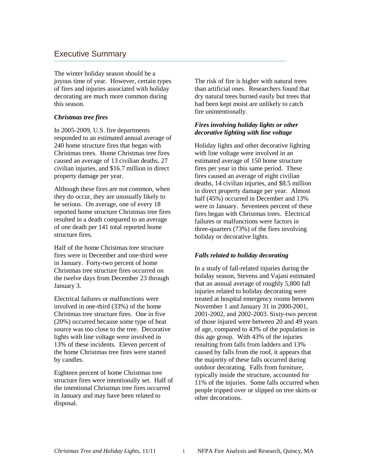## Executive Summary

The winter holiday season should be a joyous time of year. However, certain types of fires and injuries associated with holiday decorating are much more common during this season.

### *Christmas tree fires*

In 2005-2009, U.S. fire departments responded to an estimated annual average of 240 home structure fires that began with Christmas trees. Home Christmas tree fires caused an average of 13 civilian deaths, 27 civilian injuries, and \$16.7 million in direct property damage per year.

Although these fires are not common, when they do occur, they are unusually likely to be serious. On average, one of every 18 reported home structure Christmas tree fires resulted in a death compared to an average of one death per 141 total reported home structure fires.

Half of the home Christmas tree structure fires were in December and one-third were in January. Forty-two percent of home Christmas tree structure fires occurred on the twelve days from December 23 through January 3.

Electrical failures or malfunctions were involved in one-third (33%) of the home Christmas tree structure fires. One in five (20%) occurred because some type of heat source was too close to the tree. Decorative lights with line voltage were involved in 13% of these incidents.Eleven percent of the home Christmas tree fires were started by candles.

Eighteen percent of home Christmas tree structure fires were intentionally set. Half of the intentional Christmas tree fires occurred in January and may have been related to disposal.

The risk of fire is higher with natural trees than artificial ones. Researchers found that dry natural trees burned easily but trees that had been kept moist are unlikely to catch fire unintentionally.

### *Fires involving holiday lights or other decorative lighting with line voltage*

Holiday lights and other decorative lighting with line voltage were involved in an estimated average of 150 home structure fires per year in this same period. These fires caused an average of eight civilian deaths, 14 civilian injuries, and \$8.5 million in direct property damage per year. Almost half (45%) occurred in December and 13% were in January. Seventeen percent of these fires began with Christmas trees. Electrical failures or malfunctions were factors in three-quarters (73%) of the fires involving holiday or decorative lights.

### *Falls related to holiday decorating*

In a study of fall-related injuries during the holiday season, Stevens and Vajani estimated that an annual average of roughly 5,800 fall injuries related to holiday decorating were treated at hospital emergency rooms between November 1 and January 31 in 2000-2001, 2001-2002, and 2002-2003. Sixty-two percent of those injured were between 20 and 49 years of age, compared to 43% of the population in this age group. With 43% of the injuries resulting from falls from ladders and 13% caused by falls from the roof, it appears that the majority of these falls occurred during outdoor decorating. Falls from furniture, typically inside the structure, accounted for 11% of the injuries. Some falls occurred when people tripped over or slipped on tree skirts or other decorations.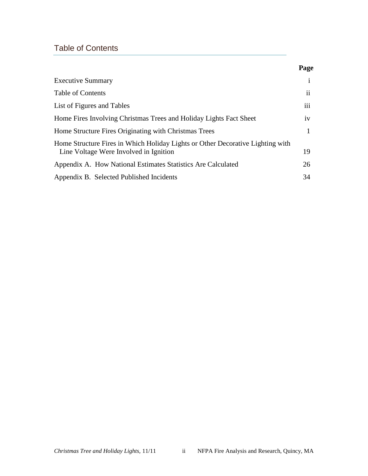# Table of Contents

|                                                                                                                          | Page          |
|--------------------------------------------------------------------------------------------------------------------------|---------------|
| <b>Executive Summary</b>                                                                                                 |               |
| <b>Table of Contents</b>                                                                                                 | $\mathbf{ii}$ |
| List of Figures and Tables                                                                                               | iii           |
| Home Fires Involving Christmas Trees and Holiday Lights Fact Sheet                                                       | iv            |
| Home Structure Fires Originating with Christmas Trees                                                                    |               |
| Home Structure Fires in Which Holiday Lights or Other Decorative Lighting with<br>Line Voltage Were Involved in Ignition | 19            |
| Appendix A. How National Estimates Statistics Are Calculated                                                             | 26            |
| Appendix B. Selected Published Incidents                                                                                 | 34            |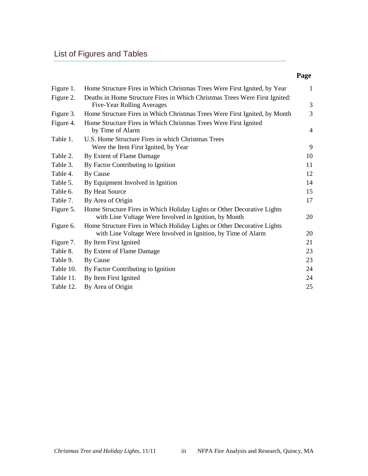# List of Figures and Tables

### **Page**

| Figure 1. | Home Structure Fires in Which Christmas Trees Were First Ignited, by Year                                                        | $\mathbf{1}$   |
|-----------|----------------------------------------------------------------------------------------------------------------------------------|----------------|
| Figure 2. | Deaths in Home Structure Fires in Which Christmas Trees Were First Ignited:<br>Five-Year Rolling Averages                        | 3              |
| Figure 3. | Home Structure Fires in Which Christmas Trees Were First Ignited, by Month                                                       | 3              |
|           | Home Structure Fires in Which Christmas Trees Were First Ignited                                                                 |                |
| Figure 4. | by Time of Alarm                                                                                                                 | $\overline{4}$ |
| Table 1.  | U.S. Home Structure Fires in which Christmas Trees                                                                               |                |
|           | Were the Item First Ignited, by Year                                                                                             | 9              |
| Table 2.  | By Extent of Flame Damage                                                                                                        | 10             |
| Table 3.  | By Factor Contributing to Ignition                                                                                               | 11             |
| Table 4.  | By Cause                                                                                                                         | 12             |
| Table 5.  | By Equipment Involved in Ignition                                                                                                | 14             |
| Table 6.  | By Heat Source                                                                                                                   | 15             |
| Table 7.  | By Area of Origin                                                                                                                | 17             |
| Figure 5. | Home Structure Fires in Which Holiday Lights or Other Decorative Lights<br>with Line Voltage Were Involved in Ignition, by Month | 20             |
| Figure 6. | Home Structure Fires in Which Holiday Lights or Other Decorative Lights                                                          |                |
|           | with Line Voltage Were Involved in Ignition, by Time of Alarm                                                                    | 20             |
| Figure 7. | By Item First Ignited                                                                                                            | 21             |
| Table 8.  | By Extent of Flame Damage                                                                                                        | 23             |
| Table 9.  | By Cause                                                                                                                         | 23             |
| Table 10. | By Factor Contributing to Ignition                                                                                               | 24             |
| Table 11. | By Item First Ignited                                                                                                            | 24             |
| Table 12. | By Area of Origin                                                                                                                | 25             |